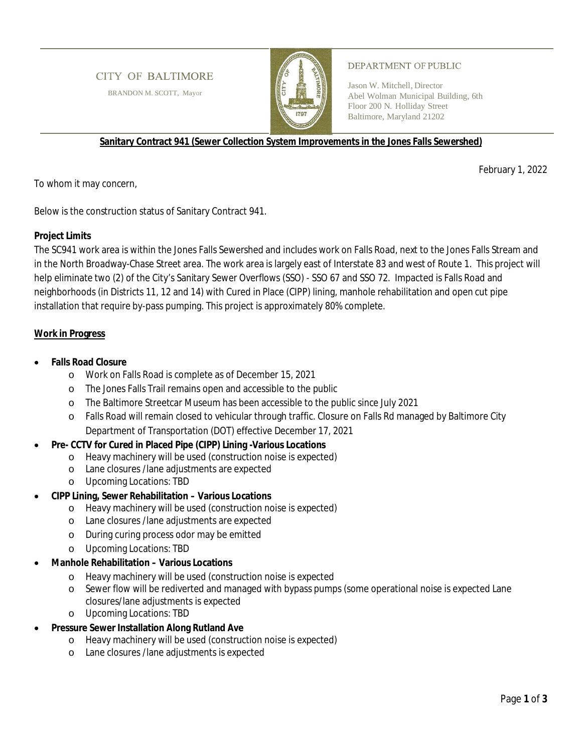# **CITY OF BALTIMORE**



#### DEPARTMENT OF PUBLIC

BRANDON M. SCOTT, Mayor Jason W. Mitchell, Director Abel Wolman Municipal Building, 6th Floor 200 N. Holliday Street Baltimore, Maryland 21202

**Sanitary Contract 941 (Sewer Collection System Improvements in the Jones Falls Sewershed)**

February 1, 2022

To whom it may concern,

Below is the construction status of Sanitary Contract 941.

# **Project Limits**

The SC941 work area is within the Jones Falls Sewershed and includes work on Falls Road, next to the Jones Falls Stream and in the North Broadway-Chase Street area. The work area is largely east of Interstate 83 and west of Route 1. This project will help eliminate two (2) of the City's Sanitary Sewer Overflows (SSO) - SSO 67 and SSO 72. Impacted is Falls Road and neighborhoods (in Districts 11, 12 and 14) with Cured in Place (CIPP) lining, manhole rehabilitation and open cut pipe installation that require by-pass pumping. This project is approximately 80% complete.

### **Work in Progress**

- **Falls Road Closure**
	- o Work on Falls Road is complete as of December 15, 2021
	- o The Jones Falls Trail remains open and accessible to the public
	- o The Baltimore Streetcar Museum has been accessible to the public since July 2021
	- o Falls Road will remain closed to vehicular through traffic. Closure on Falls Rd managed by Baltimore City Department of Transportation (DOT) effective December 17, 2021
- **Pre- CCTV for Cured in Placed Pipe (CIPP) Lining -Various Locations**
	- o Heavy machinery will be used (construction noise is expected)
	- o Lane closures /lane adjustments are expected
	- o Upcoming Locations: TBD
- **CIPP Lining, Sewer Rehabilitation – Various Locations**
	- o Heavy machinery will be used (construction noise is expected)
	- o Lane closures /lane adjustments are expected
	- o During curing process odor may be emitted
	- o Upcoming Locations: TBD
- **Manhole Rehabilitation – Various Locations**
	- o Heavy machinery will be used (construction noise is expected
	- o Sewer flow will be rediverted and managed with bypass pumps (some operational noise is expected Lane closures/lane adjustments is expected
	- o Upcoming Locations: TBD
- **Pressure Sewer Installation Along Rutland Ave**
	- o Heavy machinery will be used (construction noise is expected)
	- o Lane closures /lane adjustments is expected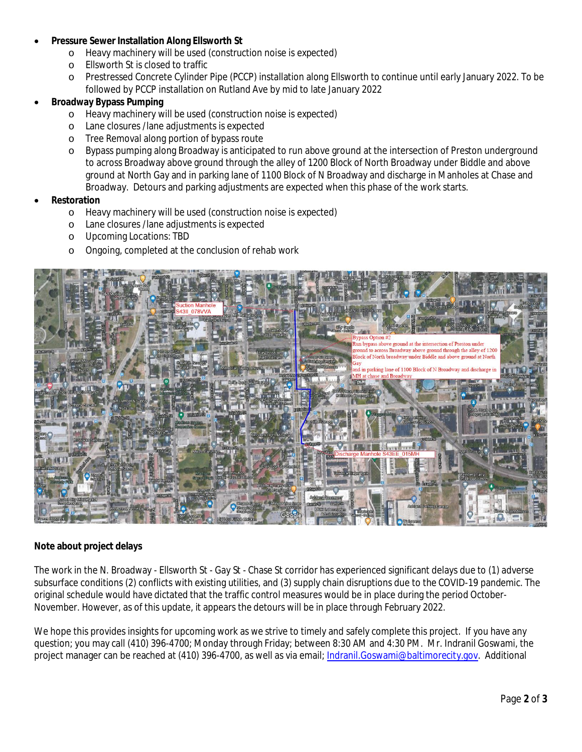- **Pressure Sewer Installation Along Ellsworth St**
	- o Heavy machinery will be used (construction noise is expected)
	- o Ellsworth St is closed to traffic
	- o Prestressed Concrete Cylinder Pipe (PCCP) installation along Ellsworth to continue until early January 2022. To be followed by PCCP installation on Rutland Ave by mid to late January 2022
- **Broadway Bypass Pumping**
	- o Heavy machinery will be used (construction noise is expected)
	- o Lane closures /lane adjustments is expected
	- o Tree Removal along portion of bypass route
	- o Bypass pumping along Broadway is anticipated to run above ground at the intersection of Preston underground to across Broadway above ground through the alley of 1200 Block of North Broadway under Biddle and above ground at North Gay and in parking lane of 1100 Block of N Broadway and discharge in Manholes at Chase and Broadway. Detours and parking adjustments are expected when this phase of the work starts.
- **Restoration**
	- o Heavy machinery will be used (construction noise is expected)
	- o Lane closures /lane adjustments is expected
	- o Upcoming Locations: TBD
	- o Ongoing, completed at the conclusion of rehab work



#### **Note about project delays**

The work in the N. Broadway - Ellsworth St - Gay St - Chase St corridor has experienced significant delays due to (1) adverse subsurface conditions (2) conflicts with existing utilities, and (3) supply chain disruptions due to the COVID-19 pandemic. The original schedule would have dictated that the traffic control measures would be in place during the period October-November. However, as of this update, it appears the detours will be in place through February 2022.

We hope this provides insights for upcoming work as we strive to timely and safely complete this project. If you have any question; you may call (410) 396-4700; Monday through Friday; between 8:30 AM and 4:30 PM. Mr. Indranil Goswami, the project manager can be reached at (410) 396-4700, as well as via email; [Indranil.Goswami@baltimorecity.gov.](mailto:Indranil.Goswami@baltimorecity.gov) Additional